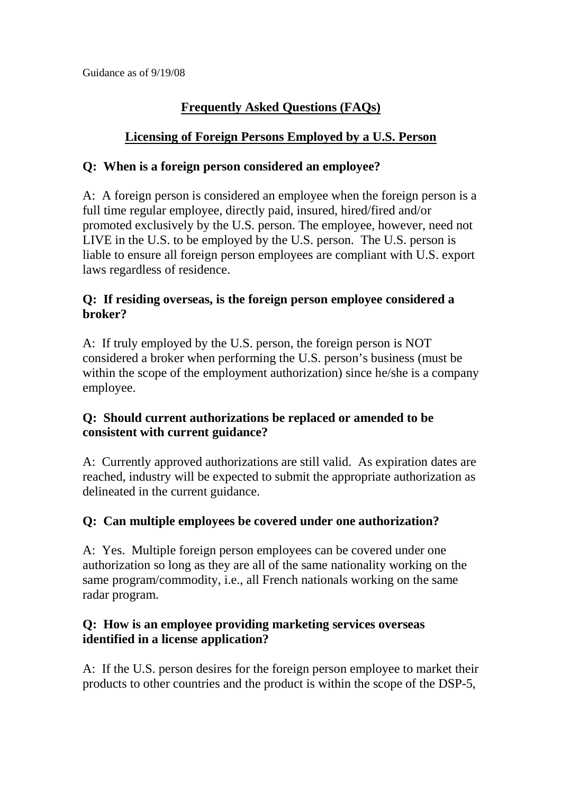# **Frequently Asked Questions (FAQs)**

## **Licensing of Foreign Persons Employed by a U.S. Person**

#### **Q: When is a foreign person considered an employee?**

A: A foreign person is considered an employee when the foreign person is a full time regular employee, directly paid, insured, hired/fired and/or promoted exclusively by the U.S. person. The employee, however, need not LIVE in the U.S. to be employed by the U.S. person. The U.S. person is liable to ensure all foreign person employees are compliant with U.S. export laws regardless of residence.

#### **Q: If residing overseas, is the foreign person employee considered a broker?**

A: If truly employed by the U.S. person, the foreign person is NOT considered a broker when performing the U.S. person's business (must be within the scope of the employment authorization) since he/she is a company employee.

## **Q: Should current authorizations be replaced or amended to be consistent with current guidance?**

A: Currently approved authorizations are still valid. As expiration dates are reached, industry will be expected to submit the appropriate authorization as delineated in the current guidance.

## **Q: Can multiple employees be covered under one authorization?**

A: Yes. Multiple foreign person employees can be covered under one authorization so long as they are all of the same nationality working on the same program/commodity, i.e., all French nationals working on the same radar program.

#### **Q: How is an employee providing marketing services overseas identified in a license application?**

A: If the U.S. person desires for the foreign person employee to market their products to other countries and the product is within the scope of the DSP-5,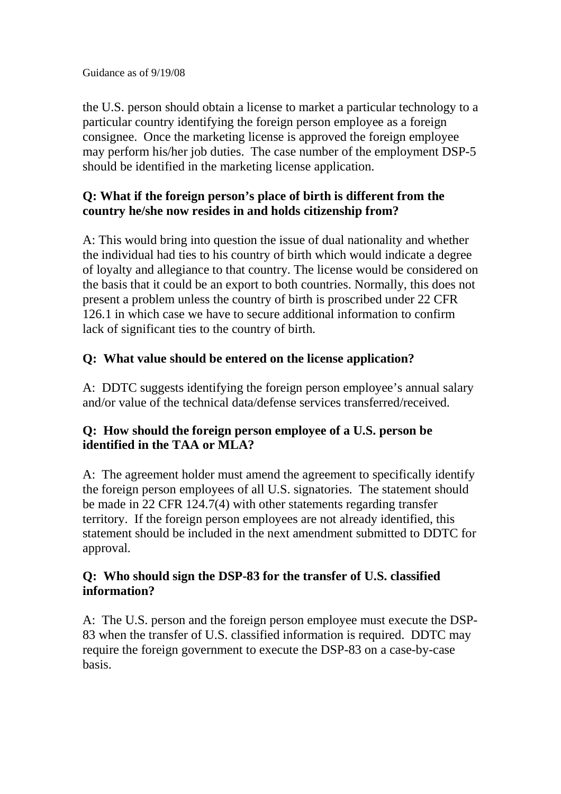Guidance as of 9/19/08

the U.S. person should obtain a license to market a particular technology to a particular country identifying the foreign person employee as a foreign consignee. Once the marketing license is approved the foreign employee may perform his/her job duties. The case number of the employment DSP-5 should be identified in the marketing license application.

### **Q: What if the foreign person's place of birth is different from the country he/she now resides in and holds citizenship from?**

A: This would bring into question the issue of dual nationality and whether the individual had ties to his country of birth which would indicate a degree of loyalty and allegiance to that country. The license would be considered on the basis that it could be an export to both countries. Normally, this does not present a problem unless the country of birth is proscribed under 22 CFR 126.1 in which case we have to secure additional information to confirm lack of significant ties to the country of birth.

## **Q: What value should be entered on the license application?**

A: DDTC suggests identifying the foreign person employee's annual salary and/or value of the technical data/defense services transferred/received.

## **Q: How should the foreign person employee of a U.S. person be identified in the TAA or MLA?**

A: The agreement holder must amend the agreement to specifically identify the foreign person employees of all U.S. signatories. The statement should be made in 22 CFR 124.7(4) with other statements regarding transfer territory. If the foreign person employees are not already identified, this statement should be included in the next amendment submitted to DDTC for approval.

## **Q: Who should sign the DSP-83 for the transfer of U.S. classified information?**

A: The U.S. person and the foreign person employee must execute the DSP-83 when the transfer of U.S. classified information is required. DDTC may require the foreign government to execute the DSP-83 on a case-by-case basis.